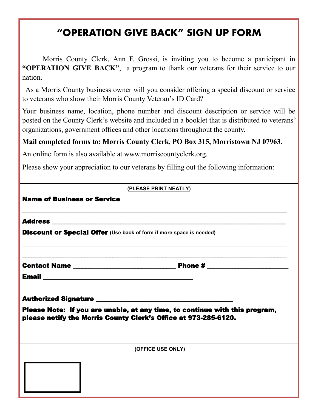## **"OPERATION GIVE BACK" SIGN UP FORM**

Morris County Clerk, Ann F. Grossi, is inviting you to become a participant in **"OPERATION GIVE BACK"**, a program to thank our veterans for their service to our nation.

 As a Morris County business owner will you consider offering a special discount or service to veterans who show their Morris County Veteran's ID Card?

Your business name, location, phone number and discount description or service will be posted on the County Clerk's website and included in a booklet that is distributed to veterans' organizations, government offices and other locations throughout the county.

## **Mail completed forms to: Morris County Clerk, PO Box 315, Morristown NJ 07963.**

An online form is also available at www.morriscountyclerk.org.

Please show your appreciation to our veterans by filling out the following information:

|                                                                             | (PLEASE PRINT NEATLY)                                                                                                 |
|-----------------------------------------------------------------------------|-----------------------------------------------------------------------------------------------------------------------|
| <b>Name of Business or Service</b>                                          |                                                                                                                       |
|                                                                             |                                                                                                                       |
| <b>Discount or Special Offer</b> (Use back of form if more space is needed) |                                                                                                                       |
|                                                                             | <u> 1989 - Johann John Harry Barn, mars and deutscher Stadt and deutscher Stadt and deutscher Stadt and deutsch</u> e |
|                                                                             |                                                                                                                       |
|                                                                             |                                                                                                                       |
| please notify the Morris County Clerk's Office at 973-285-6120.             | Please Note: If you are unable, at any time, to continue with this program,                                           |
|                                                                             | (OFFICE USE ONLY)                                                                                                     |
|                                                                             |                                                                                                                       |
|                                                                             |                                                                                                                       |